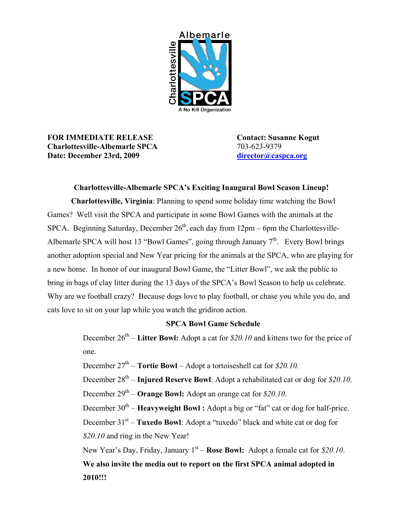

**FOR IMMEDIATE RELEASE Contact: Susanne Kogut Charlottesville-Albemarle SPCA** 703-623-9379 **Date: December 23rd, 2009 [director@caspca.org](mailto:director@caspca.org)**

## **Charlottesville-Albemarle SPCA's Exciting Inaugural Bowl Season Lineup!**

**Charlottesville, Virginia**: Planning to spend some holiday time watching the Bowl Games? Well visit the SPCA and participate in some Bowl Games with the animals at the SPCA. Beginning Saturday, December  $26<sup>th</sup>$ , each day from  $12pm - 6pm$  the Charlottesville-Albemarle SPCA will host 13 "Bowl Games", going through January  $7<sup>th</sup>$ . Every Bowl brings another adoption special and New Year pricing for the animals at the SPCA, who are playing for a new home. In honor of our inaugural Bowl Game, the "Litter Bowl", we ask the public to bring in bags of clay litter during the 13 days of the SPCA's Bowl Season to help us celebrate. Why are we football crazy? Because dogs love to play football, or chase you while you do, and cats love to sit on your lap while you watch the gridiron action.

## **SPCA Bowl Game Schedule**

December 26<sup>th</sup> – **Litter Bowl:** Adopt a cat for *\$20.10* and kittens two for the price of one.

December  $27<sup>th</sup>$  – **Tortie Bowl** – Adopt a tortoiseshell cat for *\$20.10*.

December 28<sup>th</sup> – **Injured Reserve Bowl**: Adopt a rehabilitated cat or dog for \$20.10. December 29<sup>th</sup> – **Orange Bowl:** Adopt an orange cat for *\$20.10*.

December 30<sup>th</sup> – **Heavyweight Bowl**: Adopt a big or "fat" cat or dog for half-price.

December 31<sup>st</sup> – **Tuxedo Bowl**: Adopt a "tuxedo" black and white cat or dog for *\$20.10* and ring in the New Year!

New Year's Day, Friday, January 1<sup>st</sup> – **Rose Bowl:** Adopt a female cat for \$20.10. **We also invite the media out to report on the first SPCA animal adopted in 2010!!!**